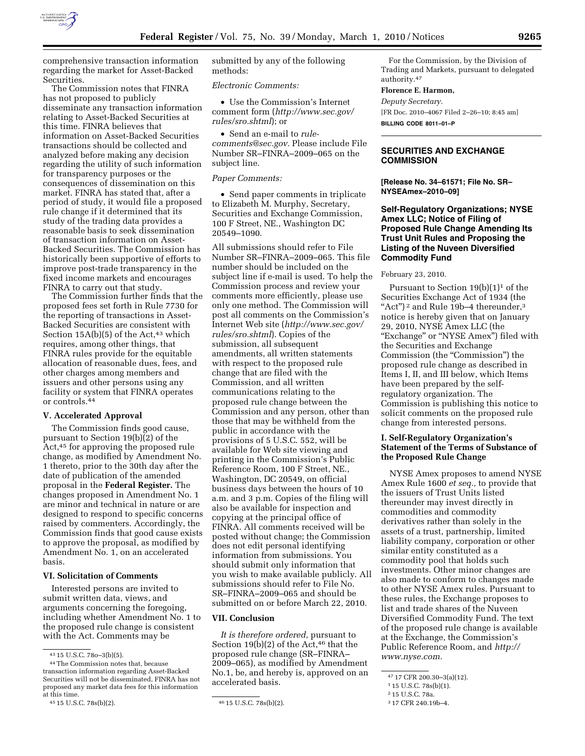

comprehensive transaction information regarding the market for Asset-Backed Securities.

The Commission notes that FINRA has not proposed to publicly disseminate any transaction information relating to Asset-Backed Securities at this time. FINRA believes that information on Asset-Backed Securities transactions should be collected and analyzed before making any decision regarding the utility of such information for transparency purposes or the consequences of dissemination on this market. FINRA has stated that, after a period of study, it would file a proposed rule change if it determined that its study of the trading data provides a reasonable basis to seek dissemination of transaction information on Asset-Backed Securities. The Commission has historically been supportive of efforts to improve post-trade transparency in the fixed income markets and encourages FINRA to carry out that study.

The Commission further finds that the proposed fees set forth in Rule 7730 for the reporting of transactions in Asset-Backed Securities are consistent with Section  $15A(b)(5)$  of the Act,<sup>43</sup> which requires, among other things, that FINRA rules provide for the equitable allocation of reasonable dues, fees, and other charges among members and issuers and other persons using any facility or system that FINRA operates or controls.44

### **V. Accelerated Approval**

The Commission finds good cause, pursuant to Section 19(b)(2) of the Act,45 for approving the proposed rule change, as modified by Amendment No. 1 thereto, prior to the 30th day after the date of publication of the amended proposal in the **Federal Register.** The changes proposed in Amendment No. 1 are minor and technical in nature or are designed to respond to specific concerns raised by commenters. Accordingly, the Commission finds that good cause exists to approve the proposal, as modified by Amendment No. 1, on an accelerated basis.

### **VI. Solicitation of Comments**

Interested persons are invited to submit written data, views, and arguments concerning the foregoing, including whether Amendment No. 1 to the proposed rule change is consistent with the Act. Comments may be

submitted by any of the following methods:

# *Electronic Comments:*

• Use the Commission's Internet comment form (*http://www.sec.gov/ rules/sro.shtml*); or

• Send an e-mail to *rulecomments@sec.gov.* Please include File Number SR–FINRA–2009–065 on the subject line.

### *Paper Comments:*

• Send paper comments in triplicate to Elizabeth M. Murphy, Secretary, Securities and Exchange Commission, 100 F Street, NE., Washington DC 20549–1090.

All submissions should refer to File Number SR–FINRA–2009–065. This file number should be included on the subject line if e-mail is used. To help the Commission process and review your comments more efficiently, please use only one method. The Commission will post all comments on the Commission's Internet Web site (*http://www.sec.gov/ rules/sro.shtml*). Copies of the submission, all subsequent amendments, all written statements with respect to the proposed rule change that are filed with the Commission, and all written communications relating to the proposed rule change between the Commission and any person, other than those that may be withheld from the public in accordance with the provisions of 5 U.S.C. 552, will be available for Web site viewing and printing in the Commission's Public Reference Room, 100 F Street, NE., Washington, DC 20549, on official business days between the hours of 10 a.m. and 3 p.m. Copies of the filing will also be available for inspection and copying at the principal office of FINRA. All comments received will be posted without change; the Commission does not edit personal identifying information from submissions. You should submit only information that you wish to make available publicly. All submissions should refer to File No. SR–FINRA–2009–065 and should be submitted on or before March 22, 2010.

### **VII. Conclusion**

*It is therefore ordered,* pursuant to Section  $19(b)(2)$  of the Act,<sup>46</sup> that the proposed rule change (SR–FINRA– 2009–065), as modified by Amendment No.1, be, and hereby is, approved on an accelerated basis.

For the Commission, by the Division of Trading and Markets, pursuant to delegated authority.47

### **Florence E. Harmon,**

*Deputy Secretary.* 

[FR Doc. 2010–4067 Filed 2–26–10; 8:45 am]

**BILLING CODE 8011–01–P** 

# **SECURITIES AND EXCHANGE COMMISSION**

**[Release No. 34–61571; File No. SR– NYSEAmex–2010–09]** 

# **Self-Regulatory Organizations; NYSE Amex LLC; Notice of Filing of Proposed Rule Change Amending Its Trust Unit Rules and Proposing the Listing of the Nuveen Diversified Commodity Fund**

#### February 23, 2010.

Pursuant to Section  $19(b)(1)^1$  of the Securities Exchange Act of 1934 (the "Act")<sup>2</sup> and Rule 19b-4 thereunder,<sup>3</sup> notice is hereby given that on January 29, 2010, NYSE Amex LLC (the "Exchange" or "NYSE Amex") filed with the Securities and Exchange Commission (the "Commission") the proposed rule change as described in Items I, II, and III below, which Items have been prepared by the selfregulatory organization. The Commission is publishing this notice to solicit comments on the proposed rule change from interested persons.

## **I. Self-Regulatory Organization's Statement of the Terms of Substance of the Proposed Rule Change**

NYSE Amex proposes to amend NYSE Amex Rule 1600 *et seq.,* to provide that the issuers of Trust Units listed thereunder may invest directly in commodities and commodity derivatives rather than solely in the assets of a trust, partnership, limited liability company, corporation or other similar entity constituted as a commodity pool that holds such investments. Other minor changes are also made to conform to changes made to other NYSE Amex rules. Pursuant to these rules, the Exchange proposes to list and trade shares of the Nuveen Diversified Commodity Fund. The text of the proposed rule change is available at the Exchange, the Commission's Public Reference Room, and *http:// www.nyse.com.* 

<sup>43</sup> 15 U.S.C. 78o–3(b)(5).

<sup>44</sup>The Commission notes that, because transaction information regarding Asset-Backed Securities will not be disseminated, FINRA has not proposed any market data fees for this information at this time.<br><sup>45</sup> 15 U.S.C. 78s(b)(2).

<sup>45</sup> 15 U.S.C. 78s(b)(2). 46 15 U.S.C. 78s(b)(2).

<sup>47</sup> 17 CFR 200.30–3(a)(12).

<sup>1</sup> 15 U.S.C. 78s(b)(1).

<sup>2</sup> 15 U.S.C. 78a.

<sup>3</sup> 17 CFR 240.19b–4.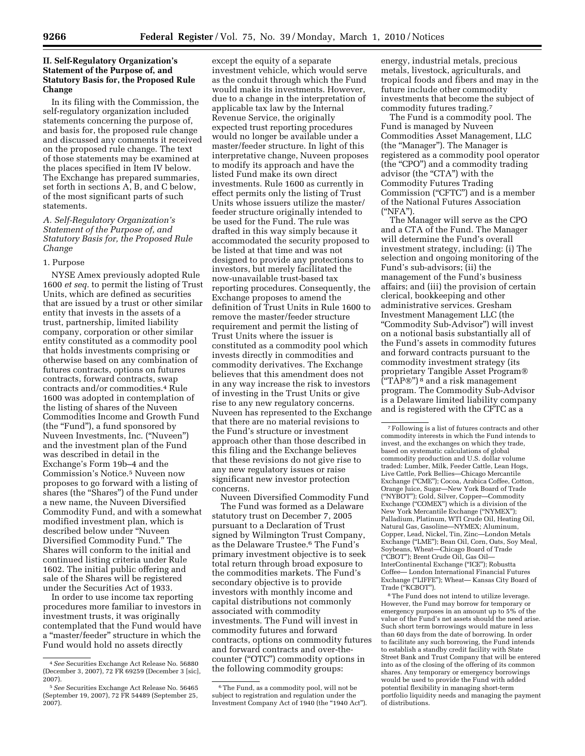# **II. Self-Regulatory Organization's Statement of the Purpose of, and Statutory Basis for, the Proposed Rule Change**

In its filing with the Commission, the self-regulatory organization included statements concerning the purpose of, and basis for, the proposed rule change and discussed any comments it received on the proposed rule change. The text of those statements may be examined at the places specified in Item IV below. The Exchange has prepared summaries, set forth in sections A, B, and C below, of the most significant parts of such statements.

## *A. Self-Regulatory Organization's Statement of the Purpose of, and Statutory Basis for, the Proposed Rule Change*

### 1. Purpose

NYSE Amex previously adopted Rule 1600 *et seq.* to permit the listing of Trust Units, which are defined as securities that are issued by a trust or other similar entity that invests in the assets of a trust, partnership, limited liability company, corporation or other similar entity constituted as a commodity pool that holds investments comprising or otherwise based on any combination of futures contracts, options on futures contracts, forward contracts, swap contracts and/or commodities.4 Rule 1600 was adopted in contemplation of the listing of shares of the Nuveen Commodities Income and Growth Fund (the ''Fund''), a fund sponsored by Nuveen Investments, Inc. (''Nuveen'') and the investment plan of the Fund was described in detail in the Exchange's Form 19b–4 and the Commission's Notice.5 Nuveen now proposes to go forward with a listing of shares (the "Shares") of the Fund under a new name, the Nuveen Diversified Commodity Fund, and with a somewhat modified investment plan, which is described below under ''Nuveen Diversified Commodity Fund.'' The Shares will conform to the initial and continued listing criteria under Rule 1602. The initial public offering and sale of the Shares will be registered under the Securities Act of 1933.

In order to use income tax reporting procedures more familiar to investors in investment trusts, it was originally contemplated that the Fund would have a ''master/feeder'' structure in which the Fund would hold no assets directly

except the equity of a separate investment vehicle, which would serve as the conduit through which the Fund would make its investments. However, due to a change in the interpretation of applicable tax law by the Internal Revenue Service, the originally expected trust reporting procedures would no longer be available under a master/feeder structure. In light of this interpretative change, Nuveen proposes to modify its approach and have the listed Fund make its own direct investments. Rule 1600 as currently in effect permits only the listing of Trust Units whose issuers utilize the master/ feeder structure originally intended to be used for the Fund. The rule was drafted in this way simply because it accommodated the security proposed to be listed at that time and was not designed to provide any protections to investors, but merely facilitated the now-unavailable trust-based tax reporting procedures. Consequently, the Exchange proposes to amend the definition of Trust Units in Rule 1600 to remove the master/feeder structure requirement and permit the listing of Trust Units where the issuer is constituted as a commodity pool which invests directly in commodities and commodity derivatives. The Exchange believes that this amendment does not in any way increase the risk to investors of investing in the Trust Units or give rise to any new regulatory concerns. Nuveen has represented to the Exchange that there are no material revisions to the Fund's structure or investment approach other than those described in this filing and the Exchange believes that these revisions do not give rise to any new regulatory issues or raise significant new investor protection concerns.

Nuveen Diversified Commodity Fund The Fund was formed as a Delaware statutory trust on December 7, 2005 pursuant to a Declaration of Trust signed by Wilmington Trust Company, as the Delaware Trustee.6 The Fund's primary investment objective is to seek total return through broad exposure to the commodities markets. The Fund's secondary objective is to provide investors with monthly income and capital distributions not commonly associated with commodity investments. The Fund will invest in commodity futures and forward contracts, options on commodity futures and forward contracts and over-thecounter (''OTC'') commodity options in the following commodity groups:

energy, industrial metals, precious metals, livestock, agriculturals, and tropical foods and fibers and may in the future include other commodity investments that become the subject of commodity futures trading.7

The Fund is a commodity pool. The Fund is managed by Nuveen Commodities Asset Management, LLC (the ''Manager''). The Manager is registered as a commodity pool operator (the "CPO") and a commodity trading advisor (the "CTA") with the Commodity Futures Trading Commission ("CFTC") and is a member of the National Futures Association (''NFA'').

The Manager will serve as the CPO and a CTA of the Fund. The Manager will determine the Fund's overall investment strategy, including: (i) The selection and ongoing monitoring of the Fund's sub-advisors; (ii) the management of the Fund's business affairs; and (iii) the provision of certain clerical, bookkeeping and other administrative services. Gresham Investment Management LLC (the ''Commodity Sub-Advisor'') will invest on a notional basis substantially all of the Fund's assets in commodity futures and forward contracts pursuant to the commodity investment strategy (its proprietary Tangible Asset Program®  $("TAP@")^8$  and a risk management program. The Commodity Sub-Advisor is a Delaware limited liability company and is registered with the CFTC as a

8The Fund does not intend to utilize leverage. However, the Fund may borrow for temporary or emergency purposes in an amount up to 5% of the value of the Fund's net assets should the need arise. Such short term borrowings would mature in less than 60 days from the date of borrowing. In order to facilitate any such borrowing, the Fund intends to establish a standby credit facility with State Street Bank and Trust Company that will be entered into as of the closing of the offering of its common shares. Any temporary or emergency borrowings would be used to provide the Fund with added potential flexibility in managing short-term portfolio liquidity needs and managing the payment of distributions.

<sup>4</sup>*See* Securities Exchange Act Release No. 56880 (December 3, 2007), 72 FR 69259 (December 3 [sic], 2007).

<sup>5</sup>*See* Securities Exchange Act Release No. 56465 (September 19, 2007), 72 FR 54489 (September 25, 2007).

<sup>6</sup>The Fund, as a commodity pool, will not be subject to registration and regulation under the Investment Company Act of 1940 (the "1940 Act").

<sup>7</sup>Following is a list of futures contracts and other commodity interests in which the Fund intends to invest, and the exchanges on which they trade, based on systematic calculations of global commodity production and U.S. dollar volume traded: Lumber, Milk, Feeder Cattle, Lean Hogs, Live Cattle, Pork Bellies—Chicago Mercantile Exchange (''CME''); Cocoa, Arabica Coffee, Cotton, Orange Juice, Sugar—New York Board of Trade (''NYBOT''); Gold, Silver, Copper—Commodity Exchange (''COMEX'') which is a division of the New York Mercantile Exchange (''NYMEX''); Palladium, Platinum, WTI Crude Oil, Heating Oil, Natural Gas, Gasoline—NYMEX; Aluminum, Copper, Lead, Nickel, Tin, Zinc—London Metals Exchange (''LME''); Bean Oil, Corn, Oats, Soy Meal, Soybeans, Wheat—Chicago Board of Trade (''CBOT''); Brent Crude Oil, Gas Oil— InterContinental Exchange (''ICE''); Robustta Coffee— London International Financial Futures Exchange (''LIFFE''); Wheat— Kansas City Board of Trade ("KCBOT").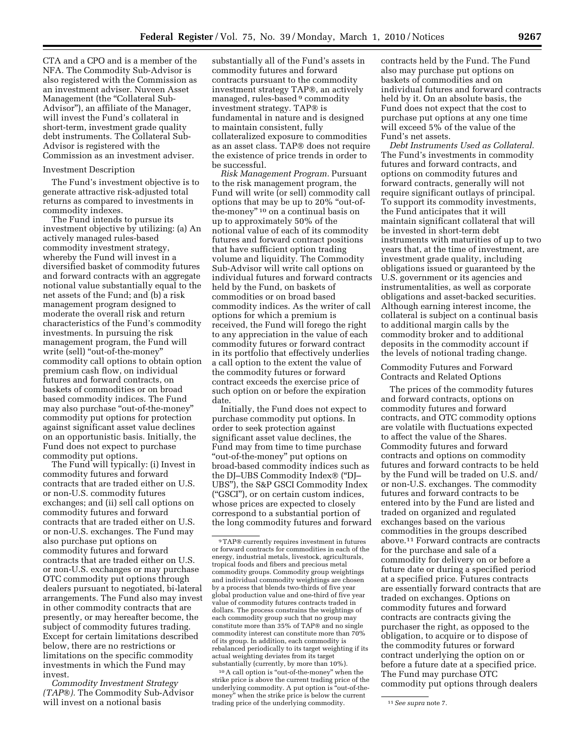CTA and a CPO and is a member of the NFA. The Commodity Sub-Advisor is also registered with the Commission as an investment adviser. Nuveen Asset Management (the "Collateral Sub-Advisor''), an affiliate of the Manager, will invest the Fund's collateral in short-term, investment grade quality debt instruments. The Collateral Sub-Advisor is registered with the Commission as an investment adviser.

#### Investment Description

The Fund's investment objective is to generate attractive risk-adjusted total returns as compared to investments in commodity indexes.

The Fund intends to pursue its investment objective by utilizing: (a) An actively managed rules-based commodity investment strategy, whereby the Fund will invest in a diversified basket of commodity futures and forward contracts with an aggregate notional value substantially equal to the net assets of the Fund; and (b) a risk management program designed to moderate the overall risk and return characteristics of the Fund's commodity investments. In pursuing the risk management program, the Fund will write (sell) ''out-of-the-money'' commodity call options to obtain option premium cash flow, on individual futures and forward contracts, on baskets of commodities or on broad based commodity indices. The Fund may also purchase ''out-of-the-money'' commodity put options for protection against significant asset value declines on an opportunistic basis. Initially, the Fund does not expect to purchase commodity put options.

The Fund will typically: (i) Invest in commodity futures and forward contracts that are traded either on U.S. or non-U.S. commodity futures exchanges; and (ii) sell call options on commodity futures and forward contracts that are traded either on U.S. or non-U.S. exchanges. The Fund may also purchase put options on commodity futures and forward contracts that are traded either on U.S. or non-U.S. exchanges or may purchase OTC commodity put options through dealers pursuant to negotiated, bi-lateral arrangements. The Fund also may invest in other commodity contracts that are presently, or may hereafter become, the subject of commodity futures trading. Except for certain limitations described below, there are no restrictions or limitations on the specific commodity investments in which the Fund may invest.

*Commodity Investment Strategy (TAP*®*).* The Commodity Sub-Advisor will invest on a notional basis

substantially all of the Fund's assets in commodity futures and forward contracts pursuant to the commodity investment strategy TAP®, an actively managed, rules-based 9 commodity investment strategy. TAP® is fundamental in nature and is designed to maintain consistent, fully collateralized exposure to commodities as an asset class. TAP® does not require the existence of price trends in order to be successful.

*Risk Management Program.* Pursuant to the risk management program, the Fund will write (or sell) commodity call options that may be up to 20% ''out-ofthe-money'' 10 on a continual basis on up to approximately 50% of the notional value of each of its commodity futures and forward contract positions that have sufficient option trading volume and liquidity. The Commodity Sub-Advisor will write call options on individual futures and forward contracts held by the Fund, on baskets of commodities or on broad based commodity indices. As the writer of call options for which a premium is received, the Fund will forego the right to any appreciation in the value of each commodity futures or forward contract in its portfolio that effectively underlies a call option to the extent the value of the commodity futures or forward contract exceeds the exercise price of such option on or before the expiration date.

Initially, the Fund does not expect to purchase commodity put options. In order to seek protection against significant asset value declines, the Fund may from time to time purchase ''out-of-the-money'' put options on broad-based commodity indices such as the DJ–UBS Commodity Index® (''DJ– UBS''), the S&P GSCI Commodity Index (''GSCI''), or on certain custom indices, whose prices are expected to closely correspond to a substantial portion of the long commodity futures and forward

10A call option is ''out-of-the-money'' when the strike price is above the current trading price of the underlying commodity. A put option is "out-of-themoney'' when the strike price is below the current trading price of the underlying commodity. 11*See supra* note 7.

contracts held by the Fund. The Fund also may purchase put options on baskets of commodities and on individual futures and forward contracts held by it. On an absolute basis, the Fund does not expect that the cost to purchase put options at any one time will exceed 5% of the value of the Fund's net assets.

*Debt Instruments Used as Collateral.*  The Fund's investments in commodity futures and forward contracts, and options on commodity futures and forward contracts, generally will not require significant outlays of principal. To support its commodity investments, the Fund anticipates that it will maintain significant collateral that will be invested in short-term debt instruments with maturities of up to two years that, at the time of investment, are investment grade quality, including obligations issued or guaranteed by the U.S. government or its agencies and instrumentalities, as well as corporate obligations and asset-backed securities. Although earning interest income, the collateral is subject on a continual basis to additional margin calls by the commodity broker and to additional deposits in the commodity account if the levels of notional trading change.

## Commodity Futures and Forward Contracts and Related Options

The prices of the commodity futures and forward contracts, options on commodity futures and forward contracts, and OTC commodity options are volatile with fluctuations expected to affect the value of the Shares. Commodity futures and forward contracts and options on commodity futures and forward contracts to be held by the Fund will be traded on U.S. and/ or non-U.S. exchanges. The commodity futures and forward contracts to be entered into by the Fund are listed and traded on organized and regulated exchanges based on the various commodities in the groups described above.11 Forward contracts are contracts for the purchase and sale of a commodity for delivery on or before a future date or during a specified period at a specified price. Futures contracts are essentially forward contracts that are traded on exchanges. Options on commodity futures and forward contracts are contracts giving the purchaser the right, as opposed to the obligation, to acquire or to dispose of the commodity futures or forward contract underlying the option on or before a future date at a specified price. The Fund may purchase OTC commodity put options through dealers

<sup>9</sup>TAP® currently requires investment in futures or forward contracts for commodities in each of the energy, industrial metals, livestock, agriculturals, tropical foods and fibers and precious metal commodity groups. Commodity group weightings and individual commodity weightings are chosen by a process that blends two-thirds of five year global production value and one-third of five year value of commodity futures contracts traded in dollars. The process constrains the weightings of each commodity group such that no group may constitute more than 35% of TAP® and no single commodity interest can constitute more than 70% of its group. In addition, each commodity is rebalanced periodically to its target weighting if its actual weighting deviates from its target substantially (currently, by more than 10%).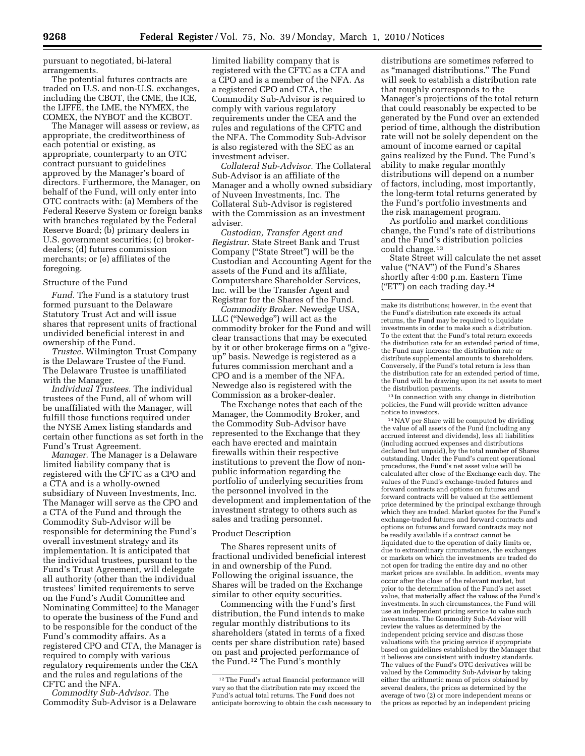pursuant to negotiated, bi-lateral arrangements.

The potential futures contracts are traded on U.S. and non-U.S. exchanges, including the CBOT, the CME, the ICE, the LIFFE, the LME, the NYMEX, the COMEX, the NYBOT and the KCBOT.

The Manager will assess or review, as appropriate, the creditworthiness of each potential or existing, as appropriate, counterparty to an OTC contract pursuant to guidelines approved by the Manager's board of directors. Furthermore, the Manager, on behalf of the Fund, will only enter into OTC contracts with: (a) Members of the Federal Reserve System or foreign banks with branches regulated by the Federal Reserve Board; (b) primary dealers in U.S. government securities; (c) brokerdealers; (d) futures commission merchants; or (e) affiliates of the foregoing.

### Structure of the Fund

*Fund.* The Fund is a statutory trust formed pursuant to the Delaware Statutory Trust Act and will issue shares that represent units of fractional undivided beneficial interest in and ownership of the Fund.

*Trustee.* Wilmington Trust Company is the Delaware Trustee of the Fund. The Delaware Trustee is unaffiliated with the Manager.

*Individual Trustees.* The individual trustees of the Fund, all of whom will be unaffiliated with the Manager, will fulfill those functions required under the NYSE Amex listing standards and certain other functions as set forth in the Fund's Trust Agreement.

*Manager.* The Manager is a Delaware limited liability company that is registered with the CFTC as a CPO and a CTA and is a wholly-owned subsidiary of Nuveen Investments, Inc. The Manager will serve as the CPO and a CTA of the Fund and through the Commodity Sub-Advisor will be responsible for determining the Fund's overall investment strategy and its implementation. It is anticipated that the individual trustees, pursuant to the Fund's Trust Agreement, will delegate all authority (other than the individual trustees' limited requirements to serve on the Fund's Audit Committee and Nominating Committee) to the Manager to operate the business of the Fund and to be responsible for the conduct of the Fund's commodity affairs. As a registered CPO and CTA, the Manager is required to comply with various regulatory requirements under the CEA and the rules and regulations of the CFTC and the NFA.

*Commodity Sub-Advisor.* The Commodity Sub-Advisor is a Delaware

limited liability company that is registered with the CFTC as a CTA and a CPO and is a member of the NFA. As a registered CPO and CTA, the Commodity Sub-Advisor is required to comply with various regulatory requirements under the CEA and the rules and regulations of the CFTC and the NFA. The Commodity Sub-Advisor is also registered with the SEC as an investment adviser.

*Collateral Sub-Advisor.* The Collateral Sub-Advisor is an affiliate of the Manager and a wholly owned subsidiary of Nuveen Investments, Inc. The Collateral Sub-Advisor is registered with the Commission as an investment adviser.

*Custodian, Transfer Agent and Registrar.* State Street Bank and Trust Company (''State Street'') will be the Custodian and Accounting Agent for the assets of the Fund and its affiliate, Computershare Shareholder Services, Inc. will be the Transfer Agent and Registrar for the Shares of the Fund.

*Commodity Broker.* Newedge USA, LLC (''Newedge'') will act as the commodity broker for the Fund and will clear transactions that may be executed by it or other brokerage firms on a ''giveup'' basis. Newedge is registered as a futures commission merchant and a CPO and is a member of the NFA. Newedge also is registered with the Commission as a broker-dealer.

The Exchange notes that each of the Manager, the Commodity Broker, and the Commodity Sub-Advisor have represented to the Exchange that they each have erected and maintain firewalls within their respective institutions to prevent the flow of nonpublic information regarding the portfolio of underlying securities from the personnel involved in the development and implementation of the investment strategy to others such as sales and trading personnel.

#### Product Description

The Shares represent units of fractional undivided beneficial interest in and ownership of the Fund. Following the original issuance, the Shares will be traded on the Exchange similar to other equity securities.

Commencing with the Fund's first distribution, the Fund intends to make regular monthly distributions to its shareholders (stated in terms of a fixed cents per share distribution rate) based on past and projected performance of the Fund.12 The Fund's monthly

distributions are sometimes referred to as ''managed distributions.'' The Fund will seek to establish a distribution rate that roughly corresponds to the Manager's projections of the total return that could reasonably be expected to be generated by the Fund over an extended period of time, although the distribution rate will not be solely dependent on the amount of income earned or capital gains realized by the Fund. The Fund's ability to make regular monthly distributions will depend on a number of factors, including, most importantly, the long-term total returns generated by the Fund's portfolio investments and the risk management program.

As portfolio and market conditions change, the Fund's rate of distributions and the Fund's distribution policies could change.13

State Street will calculate the net asset value (''NAV'') of the Fund's Shares shortly after 4:00 p.m. Eastern Time ("ET") on each trading day. $14$ 

make its distributions; however, in the event that the Fund's distribution rate exceeds its actual returns, the Fund may be required to liquidate investments in order to make such a distribution. To the extent that the Fund's total return exceeds the distribution rate for an extended period of time, the Fund may increase the distribution rate or distribute supplemental amounts to shareholders. Conversely, if the Fund's total return is less than the distribution rate for an extended period of time, the Fund will be drawing upon its net assets to meet the distribution payments.

 $^{\rm 13}$  In connection with any change in distribution policies, the Fund will provide written advance notice to investors.

14NAV per Share will be computed by dividing the value of all assets of the Fund (including any accrued interest and dividends), less all liabilities (including accrued expenses and distributions declared but unpaid), by the total number of Shares outstanding. Under the Fund's current operational procedures, the Fund's net asset value will be calculated after close of the Exchange each day. The values of the Fund's exchange-traded futures and forward contracts and options on futures and forward contracts will be valued at the settlement price determined by the principal exchange through which they are traded. Market quotes for the Fund's exchange-traded futures and forward contracts and options on futures and forward contracts may not be readily available if a contract cannot be liquidated due to the operation of daily limits or, due to extraordinary circumstances, the exchanges or markets on which the investments are traded do not open for trading the entire day and no other market prices are available. In addition, events may occur after the close of the relevant market, but prior to the determination of the Fund's net asset value, that materially affect the values of the Fund's investments. In such circumstances, the Fund will use an independent pricing service to value such investments. The Commodity Sub-Advisor will review the values as determined by the independent pricing service and discuss those valuations with the pricing service if appropriate based on guidelines established by the Manager that it believes are consistent with industry standards. The values of the Fund's OTC derivatives will be valued by the Commodity Sub-Advisor by taking either the arithmetic mean of prices obtained by several dealers, the prices as determined by the average of two (2) or more independent means or the prices as reported by an independent pricing

<sup>12</sup>The Fund's actual financial performance will vary so that the distribution rate may exceed the Fund's actual total returns. The Fund does not anticipate borrowing to obtain the cash necessary to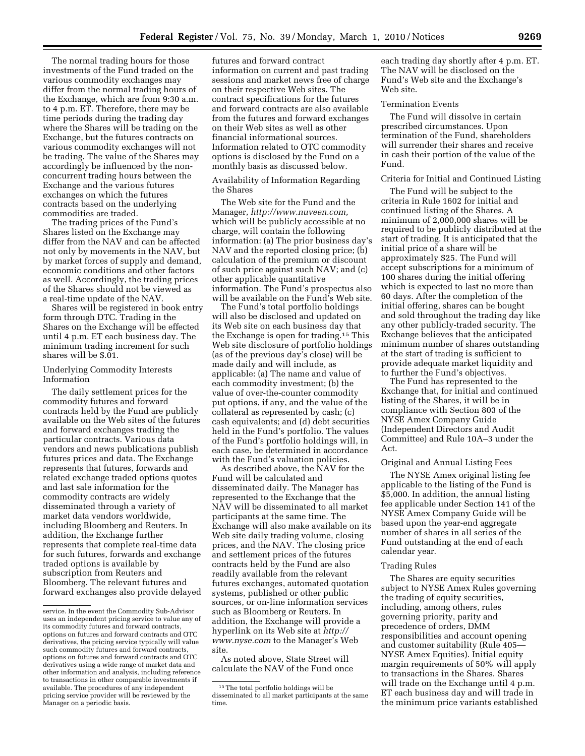The normal trading hours for those investments of the Fund traded on the various commodity exchanges may differ from the normal trading hours of the Exchange, which are from 9:30 a.m. to 4 p.m. ET. Therefore, there may be time periods during the trading day where the Shares will be trading on the Exchange, but the futures contracts on various commodity exchanges will not be trading. The value of the Shares may accordingly be influenced by the nonconcurrent trading hours between the Exchange and the various futures exchanges on which the futures contracts based on the underlying commodities are traded.

The trading prices of the Fund's Shares listed on the Exchange may differ from the NAV and can be affected not only by movements in the NAV, but by market forces of supply and demand, economic conditions and other factors as well. Accordingly, the trading prices of the Shares should not be viewed as a real-time update of the NAV.

Shares will be registered in book entry form through DTC. Trading in the Shares on the Exchange will be effected until 4 p.m. ET each business day. The minimum trading increment for such shares will be \$.01.

### Underlying Commodity Interests Information

The daily settlement prices for the commodity futures and forward contracts held by the Fund are publicly available on the Web sites of the futures and forward exchanges trading the particular contracts. Various data vendors and news publications publish futures prices and data. The Exchange represents that futures, forwards and related exchange traded options quotes and last sale information for the commodity contracts are widely disseminated through a variety of market data vendors worldwide, including Bloomberg and Reuters. In addition, the Exchange further represents that complete real-time data for such futures, forwards and exchange traded options is available by subscription from Reuters and Bloomberg. The relevant futures and forward exchanges also provide delayed

futures and forward contract information on current and past trading sessions and market news free of charge on their respective Web sites. The contract specifications for the futures and forward contracts are also available from the futures and forward exchanges on their Web sites as well as other financial informational sources. Information related to OTC commodity options is disclosed by the Fund on a monthly basis as discussed below.

Availability of Information Regarding the Shares

The Web site for the Fund and the Manager, *http://www.nuveen.com,*  which will be publicly accessible at no charge, will contain the following information: (a) The prior business day's NAV and the reported closing price; (b) calculation of the premium or discount of such price against such NAV; and (c) other applicable quantitative information. The Fund's prospectus also will be available on the Fund's Web site.

The Fund's total portfolio holdings will also be disclosed and updated on its Web site on each business day that the Exchange is open for trading.15 This Web site disclosure of portfolio holdings (as of the previous day's close) will be made daily and will include, as applicable: (a) The name and value of each commodity investment; (b) the value of over-the-counter commodity put options, if any, and the value of the collateral as represented by cash; (c) cash equivalents; and (d) debt securities held in the Fund's portfolio. The values of the Fund's portfolio holdings will, in each case, be determined in accordance with the Fund's valuation policies.

As described above, the NAV for the Fund will be calculated and disseminated daily. The Manager has represented to the Exchange that the NAV will be disseminated to all market participants at the same time. The Exchange will also make available on its Web site daily trading volume, closing prices, and the NAV. The closing price and settlement prices of the futures contracts held by the Fund are also readily available from the relevant futures exchanges, automated quotation systems, published or other public sources, or on-line information services such as Bloomberg or Reuters. In addition, the Exchange will provide a hyperlink on its Web site at *http:// www.nyse.com* to the Manager's Web site.

As noted above, State Street will calculate the NAV of the Fund once

each trading day shortly after 4 p.m. ET. The NAV will be disclosed on the Fund's Web site and the Exchange's Web site.

Termination Events

The Fund will dissolve in certain prescribed circumstances. Upon termination of the Fund, shareholders will surrender their shares and receive in cash their portion of the value of the Fund.

### Criteria for Initial and Continued Listing

The Fund will be subject to the criteria in Rule 1602 for initial and continued listing of the Shares. A minimum of 2,000,000 shares will be required to be publicly distributed at the start of trading. It is anticipated that the initial price of a share will be approximately \$25. The Fund will accept subscriptions for a minimum of 100 shares during the initial offering which is expected to last no more than 60 days. After the completion of the initial offering, shares can be bought and sold throughout the trading day like any other publicly-traded security. The Exchange believes that the anticipated minimum number of shares outstanding at the start of trading is sufficient to provide adequate market liquidity and to further the Fund's objectives.

The Fund has represented to the Exchange that, for initial and continued listing of the Shares, it will be in compliance with Section 803 of the NYSE Amex Company Guide (Independent Directors and Audit Committee) and Rule 10A–3 under the Act.

#### Original and Annual Listing Fees

The NYSE Amex original listing fee applicable to the listing of the Fund is \$5,000. In addition, the annual listing fee applicable under Section 141 of the NYSE Amex Company Guide will be based upon the year-end aggregate number of shares in all series of the Fund outstanding at the end of each calendar year.

#### Trading Rules

The Shares are equity securities subject to NYSE Amex Rules governing the trading of equity securities, including, among others, rules governing priority, parity and precedence of orders, DMM responsibilities and account opening and customer suitability (Rule 405— NYSE Amex Equities). Initial equity margin requirements of 50% will apply to transactions in the Shares. Shares will trade on the Exchange until 4 p.m. ET each business day and will trade in the minimum price variants established

service. In the event the Commodity Sub-Advisor uses an independent pricing service to value any of its commodity futures and forward contracts, options on futures and forward contracts and OTC derivatives, the pricing service typically will value such commodity futures and forward contracts, options on futures and forward contracts and OTC derivatives using a wide range of market data and other information and analysis, including reference to transactions in other comparable investments if available. The procedures of any independent pricing service provider will be reviewed by the Manager on a periodic basis.

<sup>15</sup>The total portfolio holdings will be disseminated to all market participants at the same time.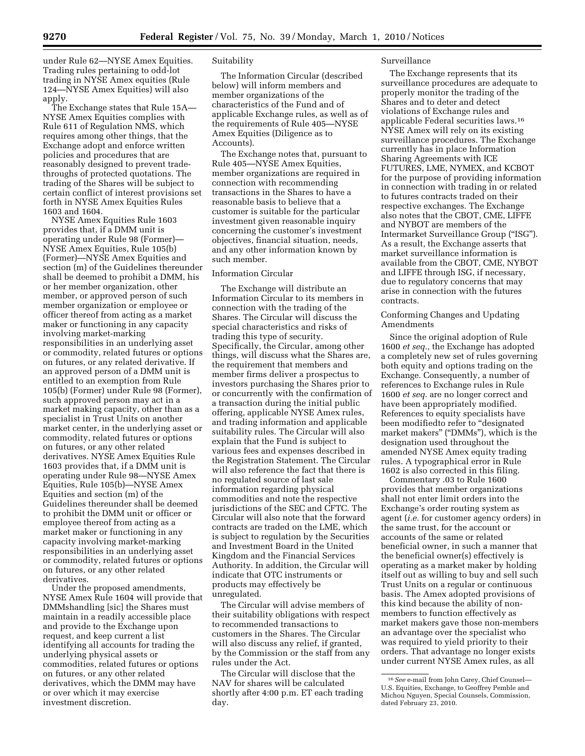under Rule 62—NYSE Amex Equities. Trading rules pertaining to odd-lot trading in NYSE Amex equities (Rule 124—NYSE Amex Equities) will also apply.

The Exchange states that Rule 15A— NYSE Amex Equities complies with Rule 611 of Regulation NMS, which requires among other things, that the Exchange adopt and enforce written policies and procedures that are reasonably designed to prevent tradethroughs of protected quotations. The trading of the Shares will be subject to certain conflict of interest provisions set forth in NYSE Amex Equities Rules 1603 and 1604.

NYSE Amex Equities Rule 1603 provides that, if a DMM unit is operating under Rule 98 (Former)— NYSE Amex Equities, Rule 105(b) (Former)—NYSE Amex Equities and section (m) of the Guidelines thereunder shall be deemed to prohibit a DMM, his or her member organization, other member, or approved person of such member organization or employee or officer thereof from acting as a market maker or functioning in any capacity involving market-marking responsibilities in an underlying asset or commodity, related futures or options on futures, or any related derivative. If an approved person of a DMM unit is entitled to an exemption from Rule 105(b) (Former) under Rule 98 (Former), such approved person may act in a market making capacity, other than as a specialist in Trust Units on another market center, in the underlying asset or commodity, related futures or options on futures, or any other related derivatives. NYSE Amex Equities Rule 1603 provides that, if a DMM unit is operating under Rule 98—NYSE Amex Equities, Rule 105(b)—NYSE Amex Equities and section (m) of the Guidelines thereunder shall be deemed to prohibit the DMM unit or officer or employee thereof from acting as a market maker or functioning in any capacity involving market-marking responsibilities in an underlying asset or commodity, related futures or options on futures, or any other related derivatives.

Under the proposed amendments, NYSE Amex Rule 1604 will provide that DMMshandling [sic] the Shares must maintain in a readily accessible place and provide to the Exchange upon request, and keep current a list identifying all accounts for trading the underlying physical assets or commodities, related futures or options on futures, or any other related derivatives, which the DMM may have or over which it may exercise investment discretion.

### Suitability

The Information Circular (described below) will inform members and member organizations of the characteristics of the Fund and of applicable Exchange rules, as well as of the requirements of Rule 405—NYSE Amex Equities (Diligence as to Accounts).

The Exchange notes that, pursuant to Rule 405—NYSE Amex Equities, member organizations are required in connection with recommending transactions in the Shares to have a reasonable basis to believe that a customer is suitable for the particular investment given reasonable inquiry concerning the customer's investment objectives, financial situation, needs, and any other information known by such member.

### Information Circular

The Exchange will distribute an Information Circular to its members in connection with the trading of the Shares. The Circular will discuss the special characteristics and risks of trading this type of security. Specifically, the Circular, among other things, will discuss what the Shares are, the requirement that members and member firms deliver a prospectus to investors purchasing the Shares prior to or concurrently with the confirmation of a transaction during the initial public offering, applicable NYSE Amex rules, and trading information and applicable suitability rules. The Circular will also explain that the Fund is subject to various fees and expenses described in the Registration Statement. The Circular will also reference the fact that there is no regulated source of last sale information regarding physical commodities and note the respective jurisdictions of the SEC and CFTC. The Circular will also note that the forward contracts are traded on the LME, which is subject to regulation by the Securities and Investment Board in the United Kingdom and the Financial Services Authority. In addition, the Circular will indicate that OTC instruments or products may effectively be unregulated.

The Circular will advise members of their suitability obligations with respect to recommended transactions to customers in the Shares. The Circular will also discuss any relief, if granted, by the Commission or the staff from any rules under the Act.

The Circular will disclose that the NAV for shares will be calculated shortly after 4:00 p.m. ET each trading day.

#### Surveillance

The Exchange represents that its surveillance procedures are adequate to properly monitor the trading of the Shares and to deter and detect violations of Exchange rules and applicable Federal securities laws.16 NYSE Amex will rely on its existing surveillance procedures. The Exchange currently has in place Information Sharing Agreements with ICE FUTURES, LME, NYMEX, and KCBOT for the purpose of providing information in connection with trading in or related to futures contracts traded on their respective exchanges. The Exchange also notes that the CBOT, CME, LIFFE and NYBOT are members of the Intermarket Surveillance Group (''ISG''). As a result, the Exchange asserts that market surveillance information is available from the CBOT, CME, NYBOT and LIFFE through ISG, if necessary, due to regulatory concerns that may arise in connection with the futures contracts.

## Conforming Changes and Updating Amendments

Since the original adoption of Rule 1600 *et seq.,* the Exchange has adopted a completely new set of rules governing both equity and options trading on the Exchange. Consequently, a number of references to Exchange rules in Rule 1600 *et seq.* are no longer correct and have been appropriately modified. References to equity specialists have been modifiedto refer to "designated market makers" ("DMMs"), which is the designation used throughout the amended NYSE Amex equity trading rules. A typographical error in Rule 1602 is also corrected in this filing.

Commentary .03 to Rule 1600 provides that member organizations shall not enter limit orders into the Exchange's order routing system as agent (*i.e.* for customer agency orders) in the same trust, for the account or accounts of the same or related beneficial owner, in such a manner that the beneficial owner(s) effectively is operating as a market maker by holding itself out as willing to buy and sell such Trust Units on a regular or continuous basis. The Amex adopted provisions of this kind because the ability of nonmembers to function effectively as market makers gave those non-members an advantage over the specialist who was required to yield priority to their orders. That advantage no longer exists under current NYSE Amex rules, as all

<sup>16</sup>*See* e-mail from John Carey, Chief Counsel— U.S. Equities, Exchange, to Geoffrey Pemble and Michou Nguyen, Special Counsels, Commission, dated February 23, 2010.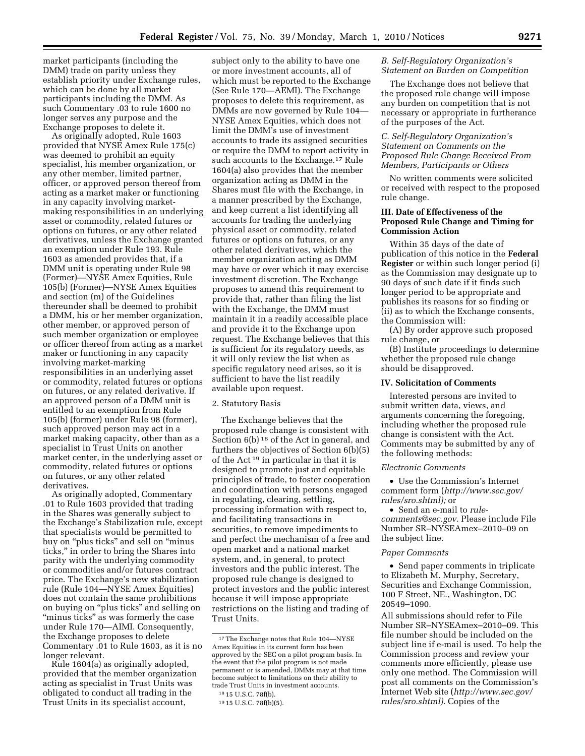market participants (including the DMM) trade on parity unless they establish priority under Exchange rules, which can be done by all market participants including the DMM. As such Commentary .03 to rule 1600 no longer serves any purpose and the Exchange proposes to delete it.

As originally adopted, Rule 1603 provided that NYSE Amex Rule 175(c) was deemed to prohibit an equity specialist, his member organization, or any other member, limited partner, officer, or approved person thereof from acting as a market maker or functioning in any capacity involving marketmaking responsibilities in an underlying asset or commodity, related futures or options on futures, or any other related derivatives, unless the Exchange granted an exemption under Rule 193. Rule 1603 as amended provides that, if a DMM unit is operating under Rule 98 (Former)—NYSE Amex Equities, Rule 105(b) (Former)—NYSE Amex Equities and section (m) of the Guidelines thereunder shall be deemed to prohibit a DMM, his or her member organization, other member, or approved person of such member organization or employee or officer thereof from acting as a market maker or functioning in any capacity involving market-marking responsibilities in an underlying asset or commodity, related futures or options on futures, or any related derivative. If an approved person of a DMM unit is entitled to an exemption from Rule 105(b) (former) under Rule 98 (former), such approved person may act in a market making capacity, other than as a specialist in Trust Units on another market center, in the underlying asset or commodity, related futures or options on futures, or any other related derivatives.

As originally adopted, Commentary .01 to Rule 1603 provided that trading in the Shares was generally subject to the Exchange's Stabilization rule, except that specialists would be permitted to buy on "plus ticks" and sell on "minus ticks,'' in order to bring the Shares into parity with the underlying commodity or commodities and/or futures contract price. The Exchange's new stabilization rule (Rule 104—NYSE Amex Equities) does not contain the same prohibitions on buying on ''plus ticks'' and selling on "minus ticks" as was formerly the case under Rule 170—AIMI. Consequently, the Exchange proposes to delete Commentary .01 to Rule 1603, as it is no longer relevant.

Rule 1604(a) as originally adopted, provided that the member organization acting as specialist in Trust Units was obligated to conduct all trading in the Trust Units in its specialist account,

subject only to the ability to have one or more investment accounts, all of which must be reported to the Exchange (See Rule 170—AEMI). The Exchange proposes to delete this requirement, as DMMs are now governed by Rule 104— NYSE Amex Equities, which does not limit the DMM's use of investment accounts to trade its assigned securities or require the DMM to report activity in such accounts to the Exchange.17 Rule 1604(a) also provides that the member organization acting as DMM in the Shares must file with the Exchange, in a manner prescribed by the Exchange, and keep current a list identifying all accounts for trading the underlying physical asset or commodity, related futures or options on futures, or any other related derivatives, which the member organization acting as DMM may have or over which it may exercise investment discretion. The Exchange proposes to amend this requirement to provide that, rather than filing the list with the Exchange, the DMM must maintain it in a readily accessible place and provide it to the Exchange upon request. The Exchange believes that this is sufficient for its regulatory needs, as it will only review the list when as specific regulatory need arises, so it is sufficient to have the list readily available upon request.

### 2. Statutory Basis

The Exchange believes that the proposed rule change is consistent with Section 6(b) <sup>18</sup> of the Act in general, and furthers the objectives of Section 6(b)(5) of the Act 19 in particular in that it is designed to promote just and equitable principles of trade, to foster cooperation and coordination with persons engaged in regulating, clearing, settling, processing information with respect to, and facilitating transactions in securities, to remove impediments to and perfect the mechanism of a free and open market and a national market system, and, in general, to protect investors and the public interest. The proposed rule change is designed to protect investors and the public interest because it will impose appropriate restrictions on the listing and trading of Trust Units.

## *B. Self-Regulatory Organization's Statement on Burden on Competition*

The Exchange does not believe that the proposed rule change will impose any burden on competition that is not necessary or appropriate in furtherance of the purposes of the Act.

# *C. Self-Regulatory Organization's Statement on Comments on the Proposed Rule Change Received From Members, Participants or Others*

No written comments were solicited or received with respect to the proposed rule change.

# **III. Date of Effectiveness of the Proposed Rule Change and Timing for Commission Action**

Within 35 days of the date of publication of this notice in the **Federal Register** or within such longer period (i) as the Commission may designate up to 90 days of such date if it finds such longer period to be appropriate and publishes its reasons for so finding or (ii) as to which the Exchange consents, the Commission will:

(A) By order approve such proposed rule change, or

(B) Institute proceedings to determine whether the proposed rule change should be disapproved.

### **IV. Solicitation of Comments**

Interested persons are invited to submit written data, views, and arguments concerning the foregoing, including whether the proposed rule change is consistent with the Act. Comments may be submitted by any of the following methods:

#### *Electronic Comments*

• Use the Commission's Internet comment form (*http://www.sec.gov/ rules/sro.shtml);* or

• Send an e-mail to *rulecomments@sec.gov.* Please include File Number SR–NYSEAmex–2010–09 on the subject line.

#### *Paper Comments*

• Send paper comments in triplicate to Elizabeth M. Murphy, Secretary, Securities and Exchange Commission, 100 F Street, NE., Washington, DC 20549–1090.

All submissions should refer to File Number SR–NYSEAmex–2010–09. This file number should be included on the subject line if e-mail is used. To help the Commission process and review your comments more efficiently, please use only one method. The Commission will post all comments on the Commission's Internet Web site (*http://www.sec.gov/ rules/sro.shtml).* Copies of the

<sup>17</sup>The Exchange notes that Rule 104—NYSE Amex Equities in its current form has been approved by the SEC on a pilot program basis. In the event that the pilot program is not made permanent or is amended, DMMs may at that time become subject to limitations on their ability to trade Trust Units in investment accounts.

<sup>18</sup> 15 U.S.C. 78f(b).

<sup>19</sup> 15 U.S.C. 78f(b)(5).